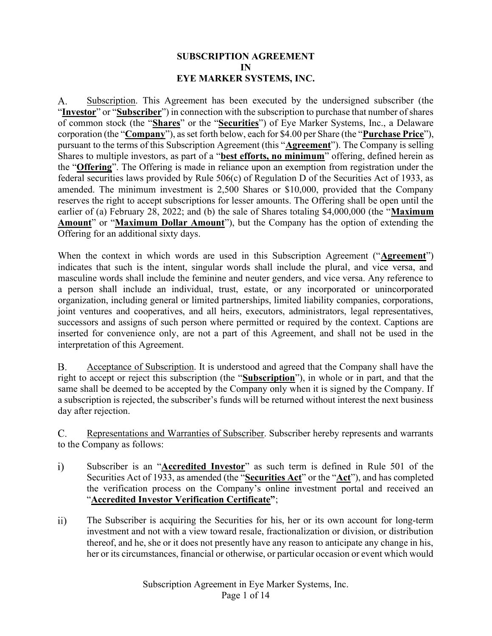#### SUBSCRIPTION AGREEMENT IN EYE MARKER SYSTEMS, INC.

Subscription. This Agreement has been executed by the undersigned subscriber (the A. "Investor" or "Subscriber") in connection with the subscription to purchase that number of shares of common stock (the "Shares" or the "Securities") of Eye Marker Systems, Inc., a Delaware corporation (the "Company"), as set forth below, each for \$4.00 per Share (the "Purchase Price"), pursuant to the terms of this Subscription Agreement (this "**Agreement**"). The Company is selling Shares to multiple investors, as part of a "best efforts, no minimum" offering, defined herein as the "**Offering**". The Offering is made in reliance upon an exemption from registration under the federal securities laws provided by Rule 506(c) of Regulation D of the Securities Act of 1933, as amended. The minimum investment is 2,500 Shares or \$10,000, provided that the Company reserves the right to accept subscriptions for lesser amounts. The Offering shall be open until the earlier of (a) February 28, 2022; and (b) the sale of Shares totaling \$4,000,000 (the "Maximum Amount" or "Maximum Dollar Amount"), but the Company has the option of extending the Offering for an additional sixty days.

When the context in which words are used in this Subscription Agreement ("Agreement") indicates that such is the intent, singular words shall include the plural, and vice versa, and masculine words shall include the feminine and neuter genders, and vice versa. Any reference to a person shall include an individual, trust, estate, or any incorporated or unincorporated organization, including general or limited partnerships, limited liability companies, corporations, joint ventures and cooperatives, and all heirs, executors, administrators, legal representatives, successors and assigns of such person where permitted or required by the context. Captions are inserted for convenience only, are not a part of this Agreement, and shall not be used in the interpretation of this Agreement.

**B.** Acceptance of Subscription. It is understood and agreed that the Company shall have the right to accept or reject this subscription (the "Subscription"), in whole or in part, and that the same shall be deemed to be accepted by the Company only when it is signed by the Company. If a subscription is rejected, the subscriber's funds will be returned without interest the next business day after rejection.

Representations and Warranties of Subscriber. Subscriber hereby represents and warrants  $C_{\cdot}$ to the Company as follows:

- $i)$ Subscriber is an "**Accredited Investor**" as such term is defined in Rule 501 of the Securities Act of 1933, as amended (the "Securities Act" or the "Act"), and has completed the verification process on the Company's online investment portal and received an "Accredited Investor Verification Certificate";
- $\overline{ii}$ The Subscriber is acquiring the Securities for his, her or its own account for long-term investment and not with a view toward resale, fractionalization or division, or distribution thereof, and he, she or it does not presently have any reason to anticipate any change in his, her or its circumstances, financial or otherwise, or particular occasion or event which would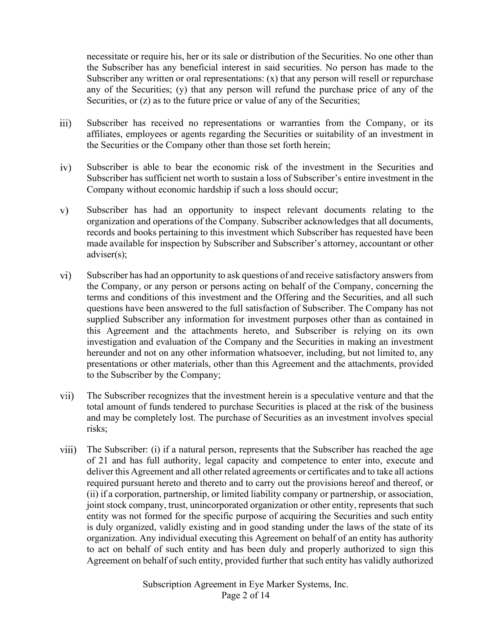necessitate or require his, her or its sale or distribution of the Securities. No one other than the Subscriber has any beneficial interest in said securities. No person has made to the Subscriber any written or oral representations:  $(x)$  that any person will resell or repurchase any of the Securities; (y) that any person will refund the purchase price of any of the Securities, or (z) as to the future price or value of any of the Securities;

- $\overline{iii}$ Subscriber has received no representations or warranties from the Company, or its affiliates, employees or agents regarding the Securities or suitability of an investment in the Securities or the Company other than those set forth herein;
- Subscriber is able to bear the economic risk of the investment in the Securities and  $iv)$ Subscriber has sufficient net worth to sustain a loss of Subscriber's entire investment in the Company without economic hardship if such a loss should occur;
- $V)$ Subscriber has had an opportunity to inspect relevant documents relating to the organization and operations of the Company. Subscriber acknowledges that all documents, records and books pertaining to this investment which Subscriber has requested have been made available for inspection by Subscriber and Subscriber's attorney, accountant or other adviser(s);
- Subscriber has had an opportunity to ask questions of and receive satisfactory answers from  $\rm vi)$ the Company, or any person or persons acting on behalf of the Company, concerning the terms and conditions of this investment and the Offering and the Securities, and all such questions have been answered to the full satisfaction of Subscriber. The Company has not supplied Subscriber any information for investment purposes other than as contained in this Agreement and the attachments hereto, and Subscriber is relying on its own investigation and evaluation of the Company and the Securities in making an investment hereunder and not on any other information whatsoever, including, but not limited to, any presentations or other materials, other than this Agreement and the attachments, provided to the Subscriber by the Company;
- The Subscriber recognizes that the investment herein is a speculative venture and that the vii) total amount of funds tendered to purchase Securities is placed at the risk of the business and may be completely lost. The purchase of Securities as an investment involves special risks;
- viii) The Subscriber: (i) if a natural person, represents that the Subscriber has reached the age of 21 and has full authority, legal capacity and competence to enter into, execute and deliver this Agreement and all other related agreements or certificates and to take all actions required pursuant hereto and thereto and to carry out the provisions hereof and thereof, or (ii) if a corporation, partnership, or limited liability company or partnership, or association, joint stock company, trust, unincorporated organization or other entity, represents that such entity was not formed for the specific purpose of acquiring the Securities and such entity is duly organized, validly existing and in good standing under the laws of the state of its organization. Any individual executing this Agreement on behalf of an entity has authority to act on behalf of such entity and has been duly and properly authorized to sign this Agreement on behalf of such entity, provided further that such entity has validly authorized

Subscription Agreement in Eye Marker Systems, Inc. Page 2 of 14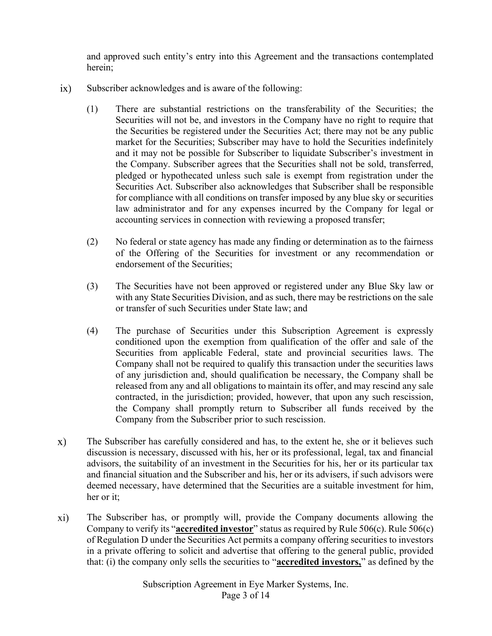and approved such entity's entry into this Agreement and the transactions contemplated herein;

- $ix)$ Subscriber acknowledges and is aware of the following:
	- (1) There are substantial restrictions on the transferability of the Securities; the Securities will not be, and investors in the Company have no right to require that the Securities be registered under the Securities Act; there may not be any public market for the Securities; Subscriber may have to hold the Securities indefinitely and it may not be possible for Subscriber to liquidate Subscriber's investment in the Company. Subscriber agrees that the Securities shall not be sold, transferred, pledged or hypothecated unless such sale is exempt from registration under the Securities Act. Subscriber also acknowledges that Subscriber shall be responsible for compliance with all conditions on transfer imposed by any blue sky or securities law administrator and for any expenses incurred by the Company for legal or accounting services in connection with reviewing a proposed transfer;
	- (2) No federal or state agency has made any finding or determination as to the fairness of the Offering of the Securities for investment or any recommendation or endorsement of the Securities;
	- (3) The Securities have not been approved or registered under any Blue Sky law or with any State Securities Division, and as such, there may be restrictions on the sale or transfer of such Securities under State law; and
	- (4) The purchase of Securities under this Subscription Agreement is expressly conditioned upon the exemption from qualification of the offer and sale of the Securities from applicable Federal, state and provincial securities laws. The Company shall not be required to qualify this transaction under the securities laws of any jurisdiction and, should qualification be necessary, the Company shall be released from any and all obligations to maintain its offer, and may rescind any sale contracted, in the jurisdiction; provided, however, that upon any such rescission, the Company shall promptly return to Subscriber all funds received by the Company from the Subscriber prior to such rescission.
- The Subscriber has carefully considered and has, to the extent he, she or it believes such  $\mathbf{x})$ discussion is necessary, discussed with his, her or its professional, legal, tax and financial advisors, the suitability of an investment in the Securities for his, her or its particular tax and financial situation and the Subscriber and his, her or its advisers, if such advisors were deemed necessary, have determined that the Securities are a suitable investment for him, her or it;
- $xi)$ The Subscriber has, or promptly will, provide the Company documents allowing the Company to verify its "**accredited investor**" status as required by Rule  $506(c)$ . Rule  $506(c)$ of Regulation D under the Securities Act permits a company offering securities to investors in a private offering to solicit and advertise that offering to the general public, provided that: (i) the company only sells the securities to "**accredited investors**," as defined by the

Subscription Agreement in Eye Marker Systems, Inc. Page 3 of 14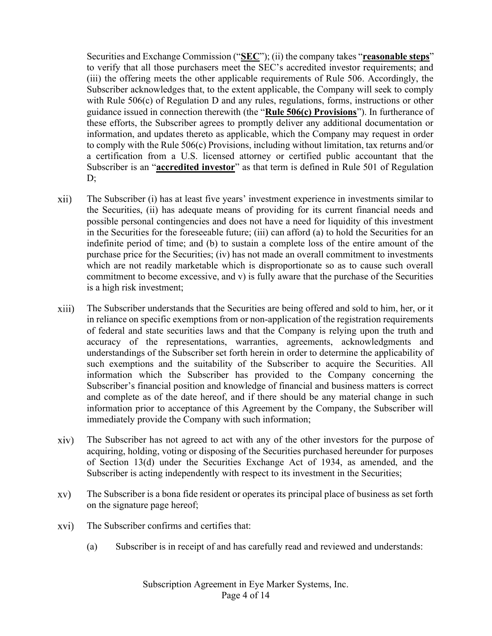Securities and Exchange Commission ("SEC"); (ii) the company takes "reasonable steps" to verify that all those purchasers meet the SEC's accredited investor requirements; and (iii) the offering meets the other applicable requirements of Rule 506. Accordingly, the Subscriber acknowledges that, to the extent applicable, the Company will seek to comply with Rule 506(c) of Regulation D and any rules, regulations, forms, instructions or other guidance issued in connection therewith (the "Rule 506(c) Provisions"). In furtherance of these efforts, the Subscriber agrees to promptly deliver any additional documentation or information, and updates thereto as applicable, which the Company may request in order to comply with the Rule 506(c) Provisions, including without limitation, tax returns and/or a certification from a U.S. licensed attorney or certified public accountant that the Subscriber is an "accredited investor" as that term is defined in Rule 501 of Regulation  $\mathbf{D}$ :

- The Subscriber (i) has at least five years' investment experience in investments similar to xii) the Securities, (ii) has adequate means of providing for its current financial needs and possible personal contingencies and does not have a need for liquidity of this investment in the Securities for the foreseeable future; (iii) can afford (a) to hold the Securities for an indefinite period of time; and (b) to sustain a complete loss of the entire amount of the purchase price for the Securities; (iv) has not made an overall commitment to investments which are not readily marketable which is disproportionate so as to cause such overall commitment to become excessive, and v) is fully aware that the purchase of the Securities is a high risk investment;
- The Subscriber understands that the Securities are being offered and sold to him, her, or it xiii) in reliance on specific exemptions from or non-application of the registration requirements of federal and state securities laws and that the Company is relying upon the truth and accuracy of the representations, warranties, agreements, acknowledgments and understandings of the Subscriber set forth herein in order to determine the applicability of such exemptions and the suitability of the Subscriber to acquire the Securities. All information which the Subscriber has provided to the Company concerning the Subscriber's financial position and knowledge of financial and business matters is correct and complete as of the date hereof, and if there should be any material change in such information prior to acceptance of this Agreement by the Company, the Subscriber will immediately provide the Company with such information;
- $\dot{x}$ iv) The Subscriber has not agreed to act with any of the other investors for the purpose of acquiring, holding, voting or disposing of the Securities purchased hereunder for purposes of Section 13(d) under the Securities Exchange Act of 1934, as amended, and the Subscriber is acting independently with respect to its investment in the Securities;
- XV) The Subscriber is a bona fide resident or operates its principal place of business as set forth on the signature page hereof;
- The Subscriber confirms and certifies that: xvi)
	- (a) Subscriber is in receipt of and has carefully read and reviewed and understands:

Subscription Agreement in Eye Marker Systems, Inc. Page 4 of 14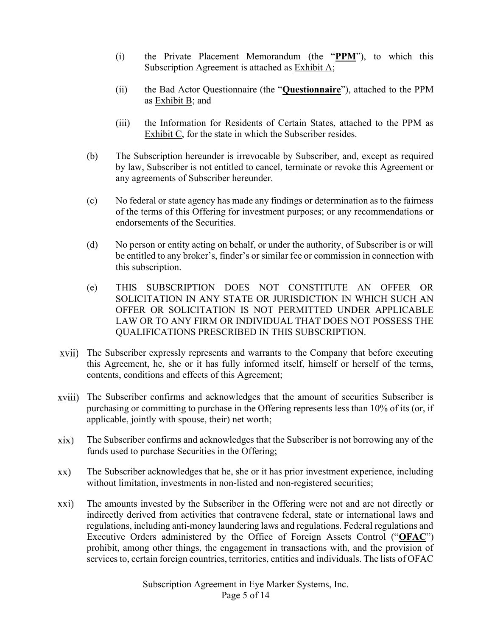- (i) the Private Placement Memorandum (the " $PPM$ "), to which this Subscription Agreement is attached as Exhibit A;
- (ii) the Bad Actor Questionnaire (the "Questionnaire"), attached to the PPM as Exhibit B; and
- (iii) the Information for Residents of Certain States, attached to the PPM as Exhibit C, for the state in which the Subscriber resides.
- (b) The Subscription hereunder is irrevocable by Subscriber, and, except as required by law, Subscriber is not entitled to cancel, terminate or revoke this Agreement or any agreements of Subscriber hereunder.
- (c) No federal or state agency has made any findings or determination as to the fairness of the terms of this Offering for investment purposes; or any recommendations or endorsements of the Securities.
- (d) No person or entity acting on behalf, or under the authority, of Subscriber is or will be entitled to any broker's, finder's or similar fee or commission in connection with this subscription.
- (e) THIS SUBSCRIPTION DOES NOT CONSTITUTE AN OFFER OR SOLICITATION IN ANY STATE OR JURISDICTION IN WHICH SUCH AN OFFER OR SOLICITATION IS NOT PERMITTED UNDER APPLICABLE LAW OR TO ANY FIRM OR INDIVIDUAL THAT DOES NOT POSSESS THE QUALIFICATIONS PRESCRIBED IN THIS SUBSCRIPTION.
- The Subscriber expressly represents and warrants to the Company that before executing this Agreement, he, she or it has fully informed itself, himself or herself of the terms, contents, conditions and effects of this Agreement;
- xviii) The Subscriber confirms and acknowledges that the amount of securities Subscriber is purchasing or committing to purchase in the Offering represents less than 10% of its (or, if applicable, jointly with spouse, their) net worth;
- $xix)$ The Subscriber confirms and acknowledges that the Subscriber is not borrowing any of the funds used to purchase Securities in the Offering;
- $XX)$ The Subscriber acknowledges that he, she or it has prior investment experience, including without limitation, investments in non-listed and non-registered securities;
- xxi) The amounts invested by the Subscriber in the Offering were not and are not directly or indirectly derived from activities that contravene federal, state or international laws and regulations, including anti-money laundering laws and regulations. Federal regulations and Executive Orders administered by the Office of Foreign Assets Control ("OFAC") prohibit, among other things, the engagement in transactions with, and the provision of services to, certain foreign countries, territories, entities and individuals. The lists of OFAC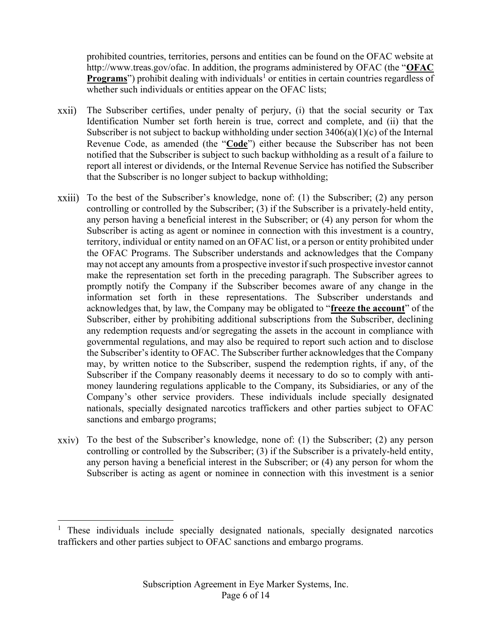prohibited countries, territories, persons and entities can be found on the OFAC website at http://www.treas.gov/ofac. In addition, the programs administered by OFAC (the "OFAC Programs") prohibit dealing with individuals<sup>1</sup> or entities in certain countries regardless of whether such individuals or entities appear on the OFAC lists;

- The Subscriber certifies, under penalty of perjury, (i) that the social security or Tax xxii) Identification Number set forth herein is true, correct and complete, and (ii) that the Subscriber is not subject to backup withholding under section  $3406(a)(1)(c)$  of the Internal Revenue Code, as amended (the "Code") either because the Subscriber has not been notified that the Subscriber is subject to such backup withholding as a result of a failure to report all interest or dividends, or the Internal Revenue Service has notified the Subscriber that the Subscriber is no longer subject to backup withholding;
- $xxiii)$  To the best of the Subscriber's knowledge, none of: (1) the Subscriber; (2) any person controlling or controlled by the Subscriber; (3) if the Subscriber is a privately-held entity, any person having a beneficial interest in the Subscriber; or (4) any person for whom the Subscriber is acting as agent or nominee in connection with this investment is a country, territory, individual or entity named on an OFAC list, or a person or entity prohibited under the OFAC Programs. The Subscriber understands and acknowledges that the Company may not accept any amounts from a prospective investor if such prospective investor cannot make the representation set forth in the preceding paragraph. The Subscriber agrees to promptly notify the Company if the Subscriber becomes aware of any change in the information set forth in these representations. The Subscriber understands and acknowledges that, by law, the Company may be obligated to "freeze the account" of the Subscriber, either by prohibiting additional subscriptions from the Subscriber, declining any redemption requests and/or segregating the assets in the account in compliance with governmental regulations, and may also be required to report such action and to disclose the Subscriber's identity to OFAC. The Subscriber further acknowledges that the Company may, by written notice to the Subscriber, suspend the redemption rights, if any, of the Subscriber if the Company reasonably deems it necessary to do so to comply with antimoney laundering regulations applicable to the Company, its Subsidiaries, or any of the Company's other service providers. These individuals include specially designated nationals, specially designated narcotics traffickers and other parties subject to OFAC sanctions and embargo programs;
- To the best of the Subscriber's knowledge, none of: (1) the Subscriber; (2) any person  $xxiv)$ controlling or controlled by the Subscriber; (3) if the Subscriber is a privately-held entity, any person having a beneficial interest in the Subscriber; or (4) any person for whom the Subscriber is acting as agent or nominee in connection with this investment is a senior

<sup>&</sup>lt;sup>1</sup> These individuals include specially designated nationals, specially designated narcotics traffickers and other parties subject to OFAC sanctions and embargo programs.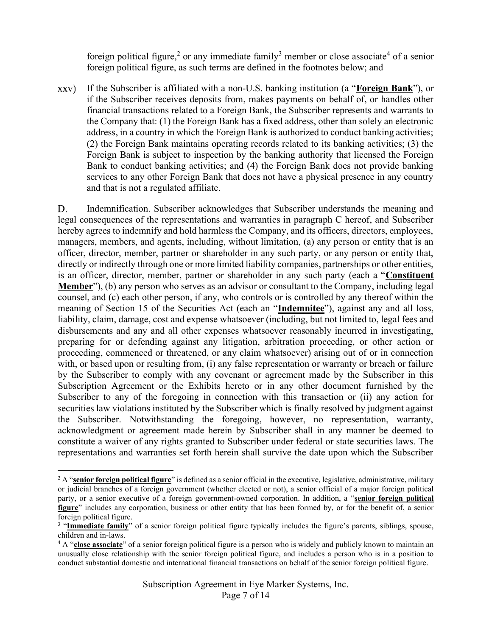foreign political figure,<sup>2</sup> or any immediate family<sup>3</sup> member or close associate<sup>4</sup> of a senior foreign political figure, as such terms are defined in the footnotes below; and

If the Subscriber is affiliated with a non-U.S. banking institution (a "Foreign Bank"), or XXV) if the Subscriber receives deposits from, makes payments on behalf of, or handles other financial transactions related to a Foreign Bank, the Subscriber represents and warrants to the Company that: (1) the Foreign Bank has a fixed address, other than solely an electronic address, in a country in which the Foreign Bank is authorized to conduct banking activities; (2) the Foreign Bank maintains operating records related to its banking activities; (3) the Foreign Bank is subject to inspection by the banking authority that licensed the Foreign Bank to conduct banking activities; and (4) the Foreign Bank does not provide banking services to any other Foreign Bank that does not have a physical presence in any country and that is not a regulated affiliate.

D. Indemnification. Subscriber acknowledges that Subscriber understands the meaning and legal consequences of the representations and warranties in paragraph C hereof, and Subscriber hereby agrees to indemnify and hold harmless the Company, and its officers, directors, employees, managers, members, and agents, including, without limitation, (a) any person or entity that is an officer, director, member, partner or shareholder in any such party, or any person or entity that, directly or indirectly through one or more limited liability companies, partnerships or other entities, is an officer, director, member, partner or shareholder in any such party (each a "Constituent Member"), (b) any person who serves as an advisor or consultant to the Company, including legal counsel, and (c) each other person, if any, who controls or is controlled by any thereof within the meaning of Section 15 of the Securities Act (each an "Indemnitee"), against any and all loss, liability, claim, damage, cost and expense whatsoever (including, but not limited to, legal fees and disbursements and any and all other expenses whatsoever reasonably incurred in investigating, preparing for or defending against any litigation, arbitration proceeding, or other action or proceeding, commenced or threatened, or any claim whatsoever) arising out of or in connection with, or based upon or resulting from, (i) any false representation or warranty or breach or failure by the Subscriber to comply with any covenant or agreement made by the Subscriber in this Subscription Agreement or the Exhibits hereto or in any other document furnished by the Subscriber to any of the foregoing in connection with this transaction or (ii) any action for securities law violations instituted by the Subscriber which is finally resolved by judgment against the Subscriber. Notwithstanding the foregoing, however, no representation, warranty, acknowledgment or agreement made herein by Subscriber shall in any manner be deemed to constitute a waiver of any rights granted to Subscriber under federal or state securities laws. The representations and warranties set forth herein shall survive the date upon which the Subscriber

<sup>&</sup>lt;sup>2</sup> A "senior foreign political figure" is defined as a senior official in the executive, legislative, administrative, military or judicial branches of a foreign government (whether elected or not), a senior official of a major foreign political party, or a senior executive of a foreign government-owned corporation. In addition, a "senior foreign political figure" includes any corporation, business or other entity that has been formed by, or for the benefit of, a senior foreign political figure.

<sup>&</sup>lt;sup>3</sup> "Immediate family" of a senior foreign political figure typically includes the figure's parents, siblings, spouse, children and in-laws.

<sup>&</sup>lt;sup>4</sup> A "close associate" of a senior foreign political figure is a person who is widely and publicly known to maintain an unusually close relationship with the senior foreign political figure, and includes a person who is in a position to conduct substantial domestic and international financial transactions on behalf of the senior foreign political figure.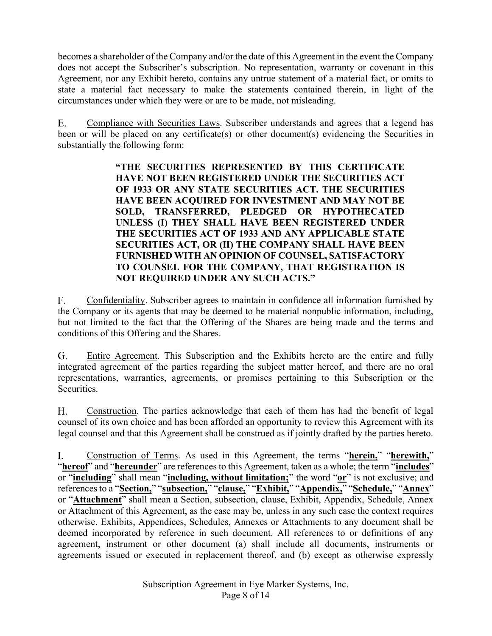becomes a shareholder of the Company and/or the date of this Agreement in the event the Company does not accept the Subscriber's subscription. No representation, warranty or covenant in this Agreement, nor any Exhibit hereto, contains any untrue statement of a material fact, or omits to state a material fact necessary to make the statements contained therein, in light of the circumstances under which they were or are to be made, not misleading.

E. Compliance with Securities Laws. Subscriber understands and agrees that a legend has been or will be placed on any certificate(s) or other document(s) evidencing the Securities in substantially the following form:

> "THE SECURITIES REPRESENTED BY THIS CERTIFICATE HAVE NOT BEEN REGISTERED UNDER THE SECURITIES ACT OF 1933 OR ANY STATE SECURITIES ACT. THE SECURITIES HAVE BEEN ACQUIRED FOR INVESTMENT AND MAY NOT BE SOLD, TRANSFERRED, PLEDGED OR HYPOTHECATED UNLESS (I) THEY SHALL HAVE BEEN REGISTERED UNDER THE SECURITIES ACT OF 1933 AND ANY APPLICABLE STATE SECURITIES ACT, OR (II) THE COMPANY SHALL HAVE BEEN FURNISHED WITH AN OPINION OF COUNSEL, SATISFACTORY TO COUNSEL FOR THE COMPANY, THAT REGISTRATION IS NOT REQUIRED UNDER ANY SUCH ACTS."

 $F_{\cdot}$ Confidentiality. Subscriber agrees to maintain in confidence all information furnished by the Company or its agents that may be deemed to be material nonpublic information, including, but not limited to the fact that the Offering of the Shares are being made and the terms and conditions of this Offering and the Shares.

Entire Agreement. This Subscription and the Exhibits hereto are the entire and fully G. integrated agreement of the parties regarding the subject matter hereof, and there are no oral representations, warranties, agreements, or promises pertaining to this Subscription or the Securities.

Construction. The parties acknowledge that each of them has had the benefit of legal Н. counsel of its own choice and has been afforded an opportunity to review this Agreement with its legal counsel and that this Agreement shall be construed as if jointly drafted by the parties hereto.

Construction of Terms. As used in this Agreement, the terms "herein," "herewith," Ι. "hereof" and "hereunder" are references to this Agreement, taken as a whole; the term "includes" or "including" shall mean "including, without limitation;" the word "or" is not exclusive; and references to a "Section," "subsection," "clause," "Exhibit," "Appendix," "Schedule," "Annex" or "Attachment" shall mean a Section, subsection, clause, Exhibit, Appendix, Schedule, Annex or Attachment of this Agreement, as the case may be, unless in any such case the context requires otherwise. Exhibits, Appendices, Schedules, Annexes or Attachments to any document shall be deemed incorporated by reference in such document. All references to or definitions of any agreement, instrument or other document (a) shall include all documents, instruments or agreements issued or executed in replacement thereof, and (b) except as otherwise expressly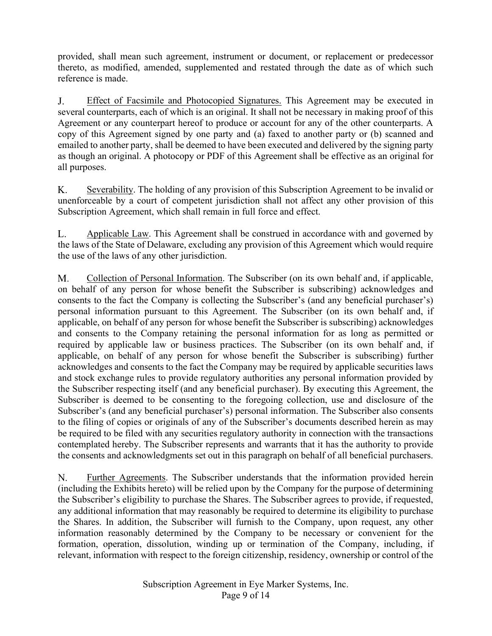provided, shall mean such agreement, instrument or document, or replacement or predecessor thereto, as modified, amended, supplemented and restated through the date as of which such reference is made.

Effect of Facsimile and Photocopied Signatures. This Agreement may be executed in J. several counterparts, each of which is an original. It shall not be necessary in making proof of this Agreement or any counterpart hereof to produce or account for any of the other counterparts. A copy of this Agreement signed by one party and (a) faxed to another party or (b) scanned and emailed to another party, shall be deemed to have been executed and delivered by the signing party as though an original. A photocopy or PDF of this Agreement shall be effective as an original for all purposes.

K. Severability. The holding of any provision of this Subscription Agreement to be invalid or unenforceable by a court of competent jurisdiction shall not affect any other provision of this Subscription Agreement, which shall remain in full force and effect.

Applicable Law. This Agreement shall be construed in accordance with and governed by L. the laws of the State of Delaware, excluding any provision of this Agreement which would require the use of the laws of any other jurisdiction.

M. Collection of Personal Information. The Subscriber (on its own behalf and, if applicable, on behalf of any person for whose benefit the Subscriber is subscribing) acknowledges and consents to the fact the Company is collecting the Subscriber's (and any beneficial purchaser's) personal information pursuant to this Agreement. The Subscriber (on its own behalf and, if applicable, on behalf of any person for whose benefit the Subscriber is subscribing) acknowledges and consents to the Company retaining the personal information for as long as permitted or required by applicable law or business practices. The Subscriber (on its own behalf and, if applicable, on behalf of any person for whose benefit the Subscriber is subscribing) further acknowledges and consents to the fact the Company may be required by applicable securities laws and stock exchange rules to provide regulatory authorities any personal information provided by the Subscriber respecting itself (and any beneficial purchaser). By executing this Agreement, the Subscriber is deemed to be consenting to the foregoing collection, use and disclosure of the Subscriber's (and any beneficial purchaser's) personal information. The Subscriber also consents to the filing of copies or originals of any of the Subscriber's documents described herein as may be required to be filed with any securities regulatory authority in connection with the transactions contemplated hereby. The Subscriber represents and warrants that it has the authority to provide the consents and acknowledgments set out in this paragraph on behalf of all beneficial purchasers.

N. Further Agreements. The Subscriber understands that the information provided herein (including the Exhibits hereto) will be relied upon by the Company for the purpose of determining the Subscriber's eligibility to purchase the Shares. The Subscriber agrees to provide, if requested, any additional information that may reasonably be required to determine its eligibility to purchase the Shares. In addition, the Subscriber will furnish to the Company, upon request, any other information reasonably determined by the Company to be necessary or convenient for the formation, operation, dissolution, winding up or termination of the Company, including, if relevant, information with respect to the foreign citizenship, residency, ownership or control of the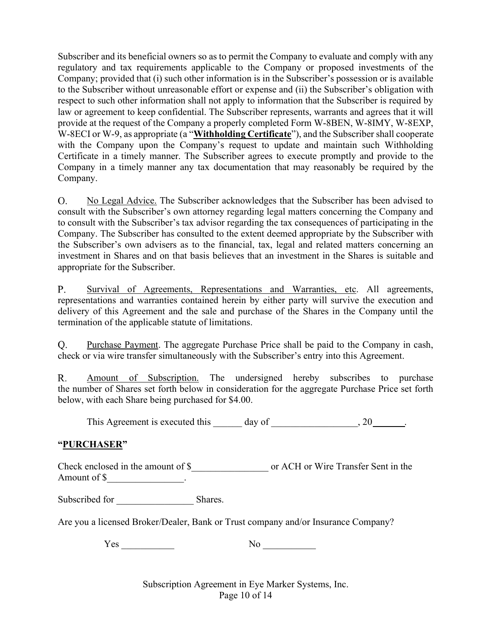Subscriber and its beneficial owners so as to permit the Company to evaluate and comply with any regulatory and tax requirements applicable to the Company or proposed investments of the Company; provided that (i) such other information is in the Subscriber's possession or is available to the Subscriber without unreasonable effort or expense and (ii) the Subscriber's obligation with respect to such other information shall not apply to information that the Subscriber is required by law or agreement to keep confidential. The Subscriber represents, warrants and agrees that it will provide at the request of the Company a properly completed Form W-8BEN, W-8IMY, W-8EXP, W-8ECI or W-9, as appropriate (a "Withholding Certificate"), and the Subscriber shall cooperate with the Company upon the Company's request to update and maintain such Withholding Certificate in a timely manner. The Subscriber agrees to execute promptly and provide to the Company in a timely manner any tax documentation that may reasonably be required by the Company.

No Legal Advice. The Subscriber acknowledges that the Subscriber has been advised to O. consult with the Subscriber's own attorney regarding legal matters concerning the Company and to consult with the Subscriber's tax advisor regarding the tax consequences of participating in the Company. The Subscriber has consulted to the extent deemed appropriate by the Subscriber with the Subscriber's own advisers as to the financial, tax, legal and related matters concerning an investment in Shares and on that basis believes that an investment in the Shares is suitable and appropriate for the Subscriber.

Survival of Agreements, Representations and Warranties, etc. All agreements, P. representations and warranties contained herein by either party will survive the execution and delivery of this Agreement and the sale and purchase of the Shares in the Company until the termination of the applicable statute of limitations.

Purchase Payment. The aggregate Purchase Price shall be paid to the Company in cash,  $Q_{\cdot}$ check or via wire transfer simultaneously with the Subscriber's entry into this Agreement.

Amount of Subscription. The undersigned hereby subscribes to purchase R. the number of Shares set forth below in consideration for the aggregate Purchase Price set forth below, with each Share being purchased for \$4.00.

This Agreement is executed this  $\qquad \qquad$  day of  $\qquad \qquad$ , 20  $\qquad \qquad$ .

## "PURCHASER"

Check enclosed in the amount of \$\_\_\_\_\_\_\_\_\_\_\_\_\_\_\_\_ or ACH or Wire Transfer Sent in the Amount of \$\_\_\_\_\_\_\_\_\_\_\_\_\_\_\_\_.

Subscribed for \_\_\_\_\_\_\_\_\_\_\_\_\_\_\_\_ Shares.

Are you a licensed Broker/Dealer, Bank or Trust company and/or Insurance Company?

Yes No

Subscription Agreement in Eye Marker Systems, Inc. Page 10 of 14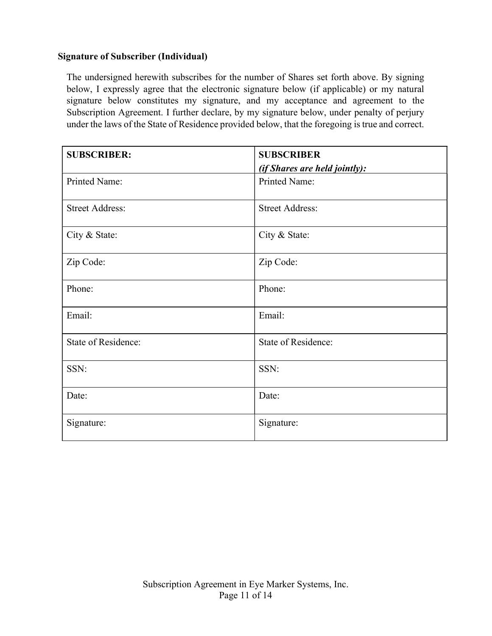## Signature of Subscriber (Individual)

The undersigned herewith subscribes for the number of Shares set forth above. By signing below, I expressly agree that the electronic signature below (if applicable) or my natural signature below constitutes my signature, and my acceptance and agreement to the Subscription Agreement. I further declare, by my signature below, under penalty of perjury under the laws of the State of Residence provided below, that the foregoing is true and correct.

| <b>SUBSCRIBER:</b>     | <b>SUBSCRIBER</b>                    |  |  |
|------------------------|--------------------------------------|--|--|
|                        | <i>(if Shares are held jointly):</i> |  |  |
| Printed Name:          | Printed Name:                        |  |  |
| <b>Street Address:</b> | <b>Street Address:</b>               |  |  |
| City & State:          | City & State:                        |  |  |
| Zip Code:              | Zip Code:                            |  |  |
| Phone:                 | Phone:                               |  |  |
| Email:                 | Email:                               |  |  |
| State of Residence:    | State of Residence:                  |  |  |
| SSN:                   | SSN:                                 |  |  |
| Date:                  | Date:                                |  |  |
| Signature:             | Signature:                           |  |  |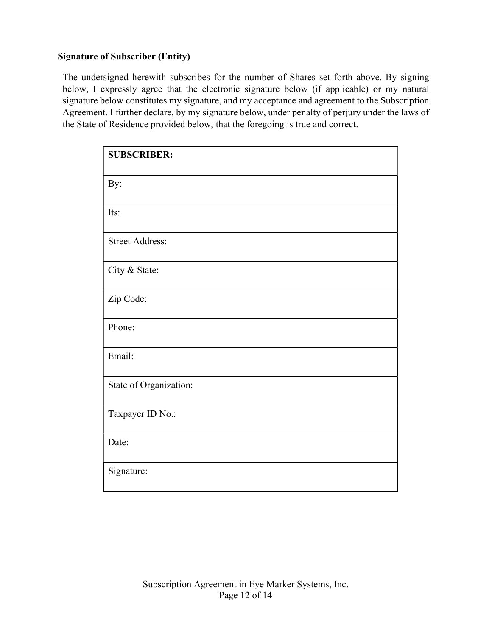# Signature of Subscriber (Entity)

The undersigned herewith subscribes for the number of Shares set forth above. By signing below, I expressly agree that the electronic signature below (if applicable) or my natural signature below constitutes my signature, and my acceptance and agreement to the Subscription Agreement. I further declare, by my signature below, under penalty of perjury under the laws of the State of Residence provided below, that the foregoing is true and correct.

| <b>SUBSCRIBER:</b>     |
|------------------------|
| By:                    |
| Its:                   |
| <b>Street Address:</b> |
| City & State:          |
| Zip Code:              |
| Phone:                 |
| Email:                 |
| State of Organization: |
| Taxpayer ID No.:       |
| Date:                  |
| Signature:             |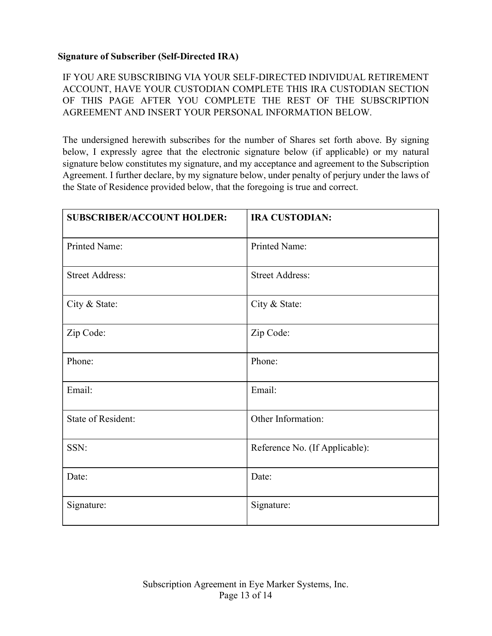# Signature of Subscriber (Self-Directed IRA)

IF YOU ARE SUBSCRIBING VIA YOUR SELF-DIRECTED INDIVIDUAL RETIREMENT ACCOUNT, HAVE YOUR CUSTODIAN COMPLETE THIS IRA CUSTODIAN SECTION OF THIS PAGE AFTER YOU COMPLETE THE REST OF THE SUBSCRIPTION AGREEMENT AND INSERT YOUR PERSONAL INFORMATION BELOW.

The undersigned herewith subscribes for the number of Shares set forth above. By signing below, I expressly agree that the electronic signature below (if applicable) or my natural signature below constitutes my signature, and my acceptance and agreement to the Subscription Agreement. I further declare, by my signature below, under penalty of perjury under the laws of the State of Residence provided below, that the foregoing is true and correct.

| <b>SUBSCRIBER/ACCOUNT HOLDER:</b> | <b>IRA CUSTODIAN:</b>          |
|-----------------------------------|--------------------------------|
| Printed Name:                     | Printed Name:                  |
| <b>Street Address:</b>            | <b>Street Address:</b>         |
| City & State:                     | City & State:                  |
| Zip Code:                         | Zip Code:                      |
| Phone:                            | Phone:                         |
| Email:                            | Email:                         |
| <b>State of Resident:</b>         | Other Information:             |
| SSN:                              | Reference No. (If Applicable): |
| Date:                             | Date:                          |
| Signature:                        | Signature:                     |